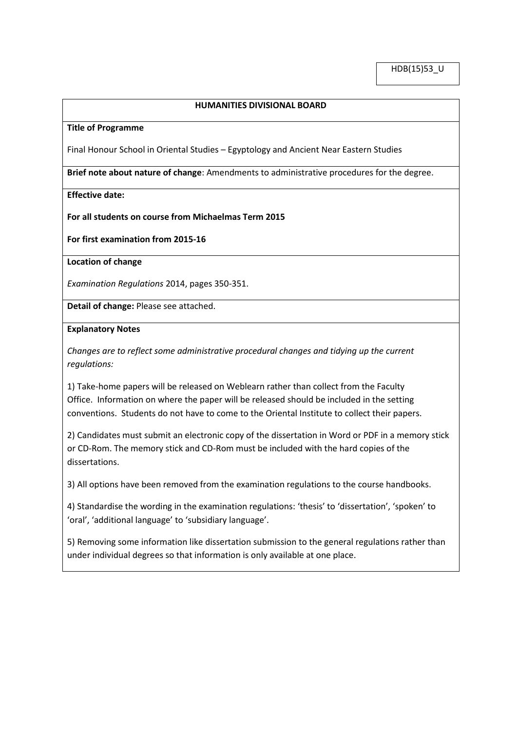## **HUMANITIES DIVISIONAL BOARD**

#### **Title of Programme**

Final Honour School in Oriental Studies – Egyptology and Ancient Near Eastern Studies

**Brief note about nature of change**: Amendments to administrative procedures for the degree.

### **Effective date:**

#### **For all students on course from Michaelmas Term 2015**

**For first examination from 2015-16**

# **Location of change**

*Examination Regulations* 2014, pages 350-351.

**Detail of change:** Please see attached.

### **Explanatory Notes**

*Changes are to reflect some administrative procedural changes and tidying up the current regulations:*

1) Take-home papers will be released on Weblearn rather than collect from the Faculty Office. Information on where the paper will be released should be included in the setting conventions. Students do not have to come to the Oriental Institute to collect their papers.

2) Candidates must submit an electronic copy of the dissertation in Word or PDF in a memory stick or CD-Rom. The memory stick and CD-Rom must be included with the hard copies of the dissertations.

3) All options have been removed from the examination regulations to the course handbooks.

4) Standardise the wording in the examination regulations: 'thesis' to 'dissertation', 'spoken' to 'oral', 'additional language' to 'subsidiary language'.

5) Removing some information like dissertation submission to the general regulations rather than under individual degrees so that information is only available at one place.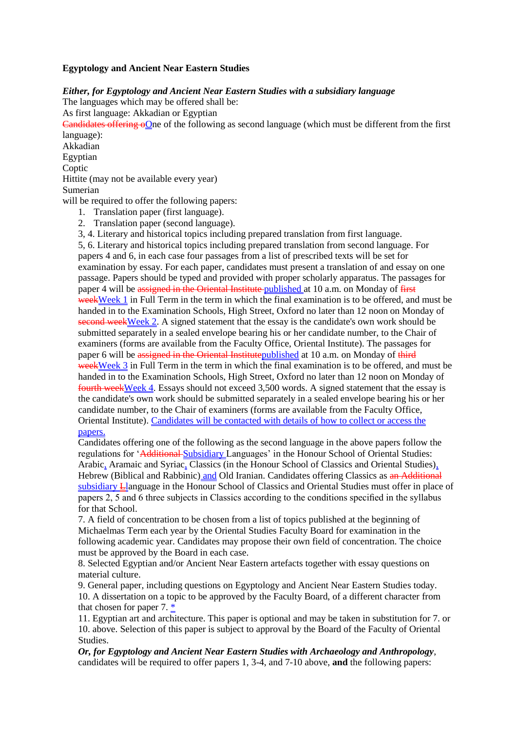# **Egyptology and Ancient Near Eastern Studies**

*Either, for Egyptology and Ancient Near Eastern Studies with a subsidiary language* The languages which may be offered shall be: As first language: Akkadian or Egyptian Candidates offering oOne of the following as second language (which must be different from the first language): Akkadian Egyptian **Coptic** Hittite (may not be available every year) Sumerian will be required to offer the following papers: 1. Translation paper (first language). 2. Translation paper (second language). 3, 4. Literary and historical topics including prepared translation from first language. 5, 6. Literary and historical topics including prepared translation from second language. For

papers 4 and 6, in each case four passages from a list of prescribed texts will be set for examination by essay. For each paper, candidates must present a translation of and essay on one passage. Papers should be typed and provided with proper scholarly apparatus. The passages for paper 4 will be assigned in the Oriental Institute published at 10 a.m. on Monday of first weekWeek 1 in Full Term in the term in which the final examination is to be offered, and must be handed in to the Examination Schools, High Street, Oxford no later than 12 noon on Monday of second weekWeek 2. A signed statement that the essay is the candidate's own work should be submitted separately in a sealed envelope bearing his or her candidate number, to the Chair of examiners (forms are available from the Faculty Office, Oriental Institute). The passages for paper 6 will be assigned in the Oriental Institutepublished at 10 a.m. on Monday of third weekWeek 3 in Full Term in the term in which the final examination is to be offered, and must be handed in to the Examination Schools, High Street, Oxford no later than 12 noon on Monday of fourth weekWeek 4. Essays should not exceed 3,500 words. A signed statement that the essay is the candidate's own work should be submitted separately in a sealed envelope bearing his or her candidate number, to the Chair of examiners (forms are available from the Faculty Office, Oriental Institute). Candidates will be contacted with details of how to collect or access the papers.

Candidates offering one of the following as the second language in the above papers follow the regulations for 'Additional Subsidiary Languages' in the Honour School of Oriental Studies: Arabic, Aramaic and Syriac, Classics (in the Honour School of Classics and Oriental Studies), Hebrew (Biblical and Rabbinic) and Old Iranian. Candidates offering Classics as an Additional subsidiary Llanguage in the Honour School of Classics and Oriental Studies must offer in place of papers 2, 5 and 6 three subjects in Classics according to the conditions specified in the syllabus for that School.

7. A field of concentration to be chosen from a list of topics published at the beginning of Michaelmas Term each year by the Oriental Studies Faculty Board for examination in the following academic year. Candidates may propose their own field of concentration. The choice must be approved by the Board in each case.

8. Selected Egyptian and/or Ancient Near Eastern artefacts together with essay questions on material culture.

9. General paper, including questions on Egyptology and Ancient Near Eastern Studies today. 10. A dissertation on a topic to be approved by the Faculty Board, of a different character from that chosen for paper 7. \*

11. Egyptian art and architecture. This paper is optional and may be taken in substitution for 7. or 10. above. Selection of this paper is subject to approval by the Board of the Faculty of Oriental Studies.

*Or, for Egyptology and Ancient Near Eastern Studies with Archaeology and Anthropology*, candidates will be required to offer papers 1, 3-4, and 7-10 above, **and** the following papers: